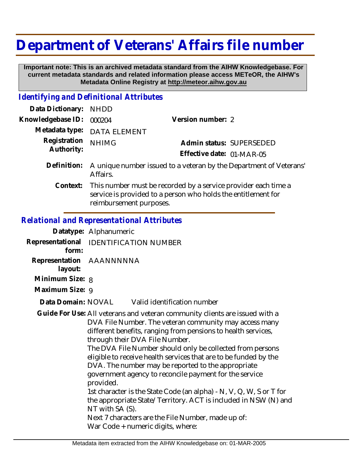## **Department of Veterans' Affairs file number**

 **Important note: This is an archived metadata standard from the AIHW Knowledgebase. For current metadata standards and related information please access METeOR, the AIHW's Metadata Online Registry at http://meteor.aihw.gov.au**

## *Identifying and Definitional Attributes*

| Data Dictionary:           | <b>NHDD</b>                                                                                                                                                |                           |                          |
|----------------------------|------------------------------------------------------------------------------------------------------------------------------------------------------------|---------------------------|--------------------------|
| Knowledgebase ID:          | 000204                                                                                                                                                     | Version number: 2         |                          |
| Metadata type:             | <b>DATA ELEMENT</b>                                                                                                                                        |                           |                          |
| Registration<br>Authority: | <b>NHIMG</b>                                                                                                                                               |                           | Admin status: SUPERSEDED |
|                            |                                                                                                                                                            | Effective date: 01-MAR-05 |                          |
| Definition:                | A unique number issued to a veteran by the Department of Veterans'<br>Affairs.                                                                             |                           |                          |
| Context:                   | This number must be recorded by a service provider each time a<br>service is provided to a person who holds the entitlement for<br>reimbursement purposes. |                           |                          |

## *Relational and Representational Attributes*

|                 | Datatype: Alphanumeric                                                                                                                                                                                                                                                                                                                                                                                                                                                                                                                                                                                                                                                                                                                                         |                                                |  |
|-----------------|----------------------------------------------------------------------------------------------------------------------------------------------------------------------------------------------------------------------------------------------------------------------------------------------------------------------------------------------------------------------------------------------------------------------------------------------------------------------------------------------------------------------------------------------------------------------------------------------------------------------------------------------------------------------------------------------------------------------------------------------------------------|------------------------------------------------|--|
| form:           | Representational IDENTIFICATION NUMBER                                                                                                                                                                                                                                                                                                                                                                                                                                                                                                                                                                                                                                                                                                                         |                                                |  |
| layout:         | Representation AAANNNNNA                                                                                                                                                                                                                                                                                                                                                                                                                                                                                                                                                                                                                                                                                                                                       |                                                |  |
| Minimum Size: 8 |                                                                                                                                                                                                                                                                                                                                                                                                                                                                                                                                                                                                                                                                                                                                                                |                                                |  |
| Maximum Size: 9 |                                                                                                                                                                                                                                                                                                                                                                                                                                                                                                                                                                                                                                                                                                                                                                |                                                |  |
|                 |                                                                                                                                                                                                                                                                                                                                                                                                                                                                                                                                                                                                                                                                                                                                                                | Data Domain: NOVAL Valid identification number |  |
|                 | Guide For Use: All veterans and veteran community clients are issued with a<br>DVA File Number. The veteran community may access many<br>different benefits, ranging from pensions to health services,<br>through their DVA File Number.<br>The DVA File Number should only be collected from persons<br>eligible to receive health services that are to be funded by the<br>DVA. The number may be reported to the appropriate<br>government agency to reconcile payment for the service<br>provided.<br>1st character is the State Code (an alpha) - N, V, Q, W, S or T for<br>the appropriate State/Territory. ACT is included in NSW (N) and<br>NT with SA (S).<br>Next 7 characters are the File Number, made up of:<br>War Code + numeric digits, where: |                                                |  |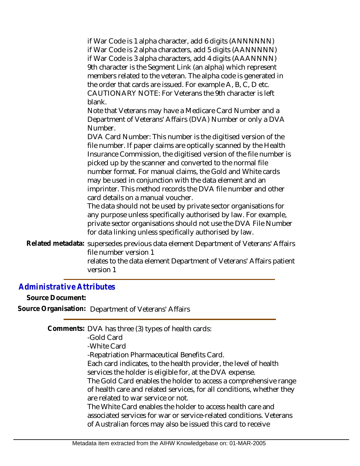if War Code is 1 alpha character, add 6 digits (ANNNNNN) if War Code is 2 alpha characters, add 5 digits (AANNNNN) if War Code is 3 alpha characters, add 4 digits (AAANNNN) 9th character is the Segment Link (an alpha) which represent members related to the veteran. The alpha code is generated in the order that cards are issued. For example A, B, C, D etc. CAUTIONARY NOTE: For Veterans the 9th character is left blank.

Note that Veterans may have a Medicare Card Number and a Department of Veterans' Affairs (DVA) Number or only a DVA Number.

DVA Card Number: This number is the digitised version of the file number. If paper claims are optically scanned by the Health Insurance Commission, the digitised version of the file number is picked up by the scanner and converted to the normal file number format. For manual claims, the Gold and White cards may be used in conjunction with the data element and an imprinter. This method records the DVA file number and other card details on a manual voucher.

The data should not be used by private sector organisations for any purpose unless specifically authorised by law. For example, private sector organisations should not use the DVA File Number for data linking unless specifically authorised by law.

Related metadata: supersedes previous data element Department of Veterans' Affairs file number version 1 relates to the data element Department of Veterans' Affairs patient version 1

## *Administrative Attributes*

**Source Document:**

**Source Organisation:** Department of Veterans' Affairs

Comments: DVA has three (3) types of health cards:

-Gold Card -White Card -Repatriation Pharmaceutical Benefits Card. Each card indicates, to the health provider, the level of health services the holder is eligible for, at the DVA expense. The Gold Card enables the holder to access a comprehensive range of health care and related services, for all conditions, whether they are related to war service or not. The White Card enables the holder to access health care and associated services for war or service-related conditions. Veterans of Australian forces may also be issued this card to receive